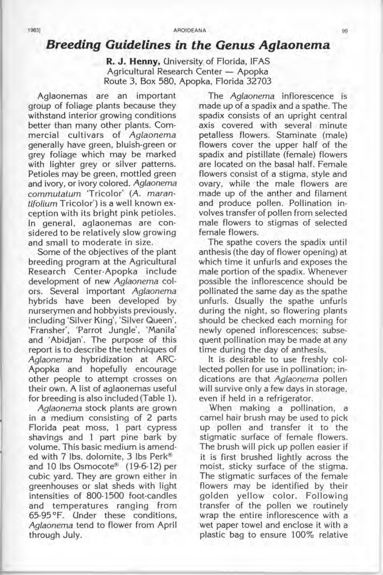## **Breeding Guidelines in the Genus Aglaonema**

**R. J. Henny,** University. of Florida, IF AS Agricultural Research Center - Apopka Route 3, Box 580, Apopka, Florida 32703

Aglaonemas are an important group of foliage plants because they withstand interior growing conditions better than many other plants. Commercial cultivars of Aglaonema generally have green, bluish-green or grey foliage which may be marked with lighter grey or silver patterns. Petioles may be green, mottled green and ivory, or ivory colored. Aglaonema commutatum Tricolor' (A. marantifolium Tricolor') is a well known exception with its bright pink petioles. In general, aglaonemas are considered to be relatively slow growing and small to moderate in size.

Some of the objectives of the plant breeding program at the Agricultural Research Center-Apopka include development of new Aglaonema colors. Several important Aglaonema hybrids have been developed by nurserymen and hobbyists previously, including 'Silver King', 'Silver Queen', 'Fransher', 'Parrot Jungle', 'Manila' and 'Abidjan'. The purpose of this report is to describe the techniques of Aglaonema hybridization at ARC-Apopka and hopefully encourage other people to attempt crosses on their own. A list of aglaonemas useful for breeding is also included (Table 1).

Aglaonema stock plants are grown in a medium consisting of 2 parts Florida peat moss, 1 part cypress shavings and 1 part pine bark by volume. This basic medium is amended with 7 Ibs. dolomite, 3 Ibs Perk® and 10 Ibs Osmocote® (19-6-12) per cubic yard. They are grown either in greenhouses or slat sheds with light intensities of 800-1500 foot-candles and temperatures ranging from 65-95 °F. Under these conditions, Aglaonema tend to flower from April through July.

The Aglaonema inflorescence is made up of a spadix and a spathe. The spadix consists of an upright central axis covered with several minute petalless flowers. Staminate (male) flowers cover the upper half of the spadix and pistillate (female) flowers are located on the basal half. Female flowers consist of a stigma, style and ovary, while the male flowers are made up of the anther and filament and produce pollen. Pollination involves transfer of pollen from selected male flowers to stigmas of selected female flowers.

The spathe covers the spadix until anthesis (the day of flower opening) at which time it unfurls and exposes the male portion of the spadix. Whenever possible the inflorescence should be pollinated the same day as the spathe unfurls. Usually the spathe unfurls during the night, so flowering plants should be checked each morning for newly opened inflorescences; subsequent pollination may be made at any time during the day of anthesis.

It is desirable to use freshly collected pollen for use in pollination; indications are that Aglaonema pollen will survive only a few days in storage, even if held in a refrigerator.

When making a pollination, a camel hair brush may be used to pick up pollen and transfer it to the stigmatic surface of female flowers. The brush will pick up pollen easier if it is first brushed lightly across the moist, sticky surface of the stigma. The stigmatic surfaces of the female flowers may be identified by their golden yellow color. Following transfer of the pollen we routinely wrap the entire inflorescence with a wet paper towel and enclose it with a plastic bag to ensure 100% relative